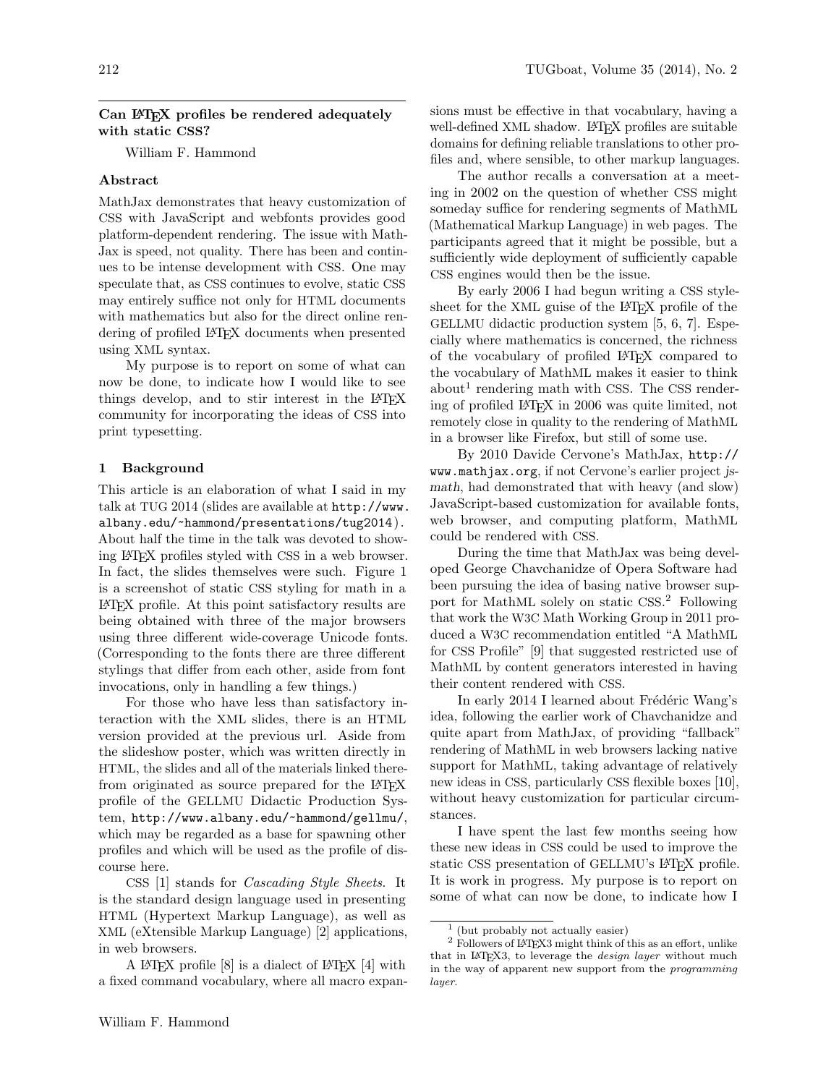## Can LATEX profiles be rendered adequately with static CSS?

William F. Hammond

## Abstract

MathJax demonstrates that heavy customization of CSS with JavaScript and webfonts provides good platform-dependent rendering. The issue with Math-Jax is speed, not quality. There has been and continues to be intense development with CSS. One may speculate that, as CSS continues to evolve, static CSS may entirely suffice not only for HTML documents with mathematics but also for the direct online rendering of profiled LAT<sub>F</sub>X documents when presented using XML syntax.

My purpose is to report on some of what can now be done, to indicate how I would like to see things develop, and to stir interest in the LATEX community for incorporating the ideas of CSS into print typesetting.

### 1 Background

This article is an elaboration of what I said in my talk at TUG 2014 (slides are available at http://www. albany.edu/~hammond/presentations/tug2014). About half the time in the talk was devoted to showing LATEX profiles styled with CSS in a web browser. In fact, the slides themselves were such. Figure 1 is a screenshot of static CSS styling for math in a LATEX profile. At this point satisfactory results are being obtained with three of the major browsers using three different wide-coverage Unicode fonts. (Corresponding to the fonts there are three different stylings that differ from each other, aside from font invocations, only in handling a few things.)

For those who have less than satisfactory interaction with the XML slides, there is an HTML version provided at the previous url. Aside from the slideshow poster, which was written directly in HTML, the slides and all of the materials linked therefrom originated as source prepared for the LAT<sub>EX</sub> profile of the GELLMU Didactic Production System, http://www.albany.edu/~hammond/gellmu/, which may be regarded as a base for spawning other profiles and which will be used as the profile of discourse here.

CSS [1] stands for Cascading Style Sheets. It is the standard design language used in presenting HTML (Hypertext Markup Language), as well as XML (eXtensible Markup Language) [2] applications, in web browsers.

A LAT<sub>EX</sub> profile  $[8]$  is a dialect of LAT<sub>EX</sub>  $[4]$  with a fixed command vocabulary, where all macro expan-

sions must be effective in that vocabulary, having a well-defined XML shadow. LATEX profiles are suitable domains for defining reliable translations to other profiles and, where sensible, to other markup languages.

The author recalls a conversation at a meeting in 2002 on the question of whether CSS might someday suffice for rendering segments of MathML (Mathematical Markup Language) in web pages. The participants agreed that it might be possible, but a sufficiently wide deployment of sufficiently capable CSS engines would then be the issue.

By early 2006 I had begun writing a CSS stylesheet for the XML guise of the LAT<sub>EX</sub> profile of the GELLMU didactic production system [5, 6, 7]. Especially where mathematics is concerned, the richness of the vocabulary of profiled LATEX compared to the vocabulary of MathML makes it easier to think  $about<sup>1</sup>$  rendering math with CSS. The CSS rendering of profiled LATEX in 2006 was quite limited, not remotely close in quality to the rendering of MathML in a browser like Firefox, but still of some use.

By 2010 Davide Cervone's MathJax, http:// www.mathjax.org, if not Cervone's earlier project jsmath, had demonstrated that with heavy (and slow) JavaScript-based customization for available fonts, web browser, and computing platform, MathML could be rendered with CSS.

During the time that MathJax was being developed George Chavchanidze of Opera Software had been pursuing the idea of basing native browser support for MathML solely on static CSS. <sup>2</sup> Following that work the W3C Math Working Group in 2011 produced a W3C recommendation entitled "A MathML for CSS Profile" [9] that suggested restricted use of MathML by content generators interested in having their content rendered with CSS.

In early 2014 I learned about Frédéric Wang's idea, following the earlier work of Chavchanidze and quite apart from MathJax, of providing "fallback" rendering of MathML in web browsers lacking native support for MathML, taking advantage of relatively new ideas in CSS, particularly CSS flexible boxes [10], without heavy customization for particular circumstances.

I have spent the last few months seeing how these new ideas in CSS could be used to improve the static CSS presentation of GELLMU's LAT<sub>EX</sub> profile. It is work in progress. My purpose is to report on some of what can now be done, to indicate how I

<sup>1</sup> (but probably not actually easier)

<sup>2</sup> Followers of LATEX3 might think of this as an effort, unlike that in IATEX3, to leverage the *design layer* without much in the way of apparent new support from the programming layer.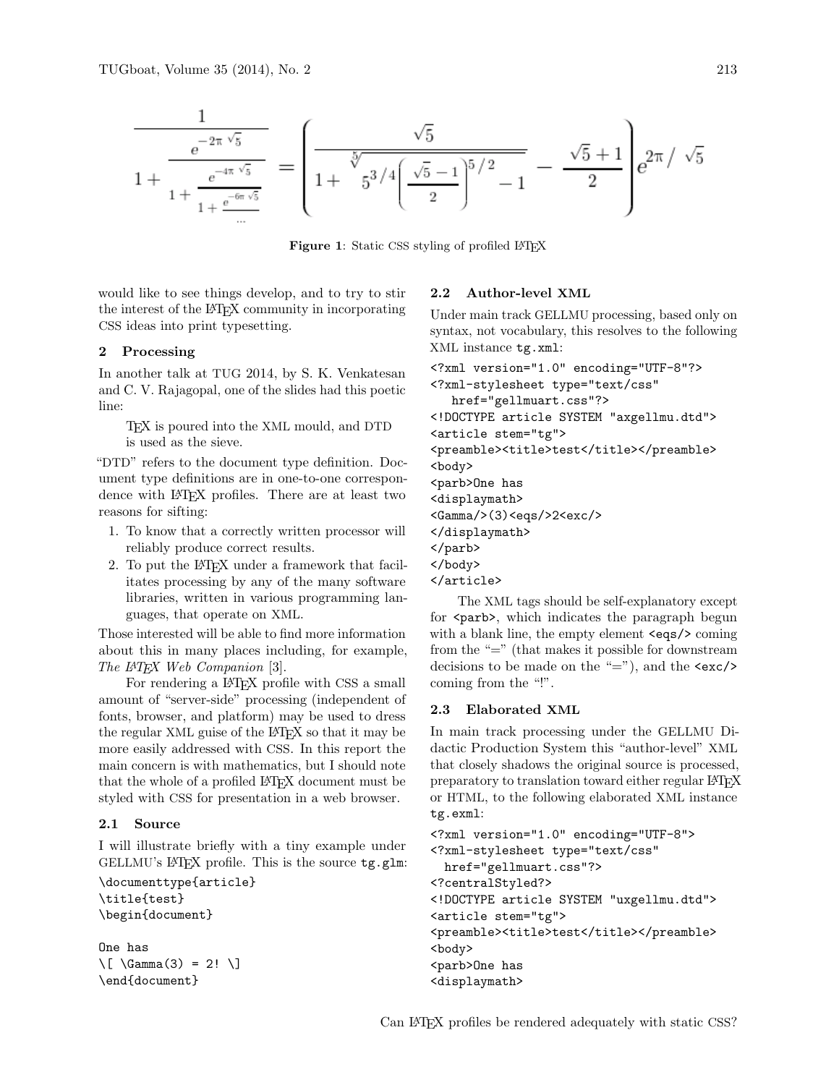$$
\frac{1}{1+\frac{e^{-2\pi\sqrt{5}}}{1+\frac{e^{-4\pi\sqrt{5}}}{1+\frac{e^{-6\pi\sqrt{5}}}{\pi}}}} = \left(\frac{\sqrt{5}}{1+\frac{\sqrt[5]{5}}{5^{3/4}\left(\frac{\sqrt{5}-1}{2}\right)^{5/2}-1}-\frac{\sqrt{5}+1}{2}}\right)e^{2\pi/\sqrt{5}}
$$

Figure 1: Static CSS styling of profiled LAT<sub>EX</sub>

would like to see things develop, and to try to stir the interest of the LATEX community in incorporating CSS ideas into print typesetting.

## 2 Processing

In another talk at TUG 2014, by S. K. Venkatesan and C. V. Rajagopal, one of the slides had this poetic line:

TEX is poured into the XML mould, and DTD is used as the sieve.

"DTD" refers to the document type definition. Document type definitions are in one-to-one correspondence with LATEX profiles. There are at least two reasons for sifting:

- 1. To know that a correctly written processor will reliably produce correct results.
- 2. To put the L<sup>A</sup>T<sub>F</sub>X under a framework that facilitates processing by any of the many software libraries, written in various programming languages, that operate on XML.

Those interested will be able to find more information about this in many places including, for example, The IATEX Web Companion [3].

For rendering a IAT<sub>F</sub>X profile with CSS a small amount of "server-side" processing (independent of fonts, browser, and platform) may be used to dress the regular XML guise of the LATEX so that it may be more easily addressed with CSS. In this report the main concern is with mathematics, but I should note that the whole of a profiled LAT<sub>EX</sub> document must be styled with CSS for presentation in a web browser.

### 2.1 Source

I will illustrate briefly with a tiny example under GELLMU's LATEX profile. This is the source  $tg.g.$ 

```
\documenttype{article}
\title{test}
\begin{document}
```
One has \[ \Gamma(3) = 2! \] \end{document}

### 2.2 Author-level XML

Under main track GELLMU processing, based only on syntax, not vocabulary, this resolves to the following XML instance tg.xml:

```
<?xml version="1.0" encoding="UTF-8"?>
<?xml-stylesheet type="text/css"
  href="gellmuart.css"?>
<!DOCTYPE article SYSTEM "axgellmu.dtd">
<article stem="tg">
<preamble><title>test</title></preamble>
<body>
<parb>One has
<displaymath>
<Gamma/>(3)<eqs/>2<exc/>
</displaymath>
</parb>
</body>
</article>
```
The XML tags should be self-explanatory except for <parb>, which indicates the paragraph begun with a blank line, the empty element <eqs/>coming from the "=" (that makes it possible for downstream decisions to be made on the "="), and the  $\langle$ exc/> coming from the "!".

### 2.3 Elaborated XML

In main track processing under the GELLMU Didactic Production System this "author-level" XML that closely shadows the original source is processed, preparatory to translation toward either regular LATEX or HTML, to the following elaborated XML instance tg.exml:

```
<?xml version="1.0" encoding="UTF-8">
<?xml-stylesheet type="text/css"
 href="gellmuart.css"?>
<?centralStyled?>
<!DOCTYPE article SYSTEM "uxgellmu.dtd">
<article stem="tg">
<preamble><title>test</title></preamble>
<body>
<parb>One has
<displaymath>
```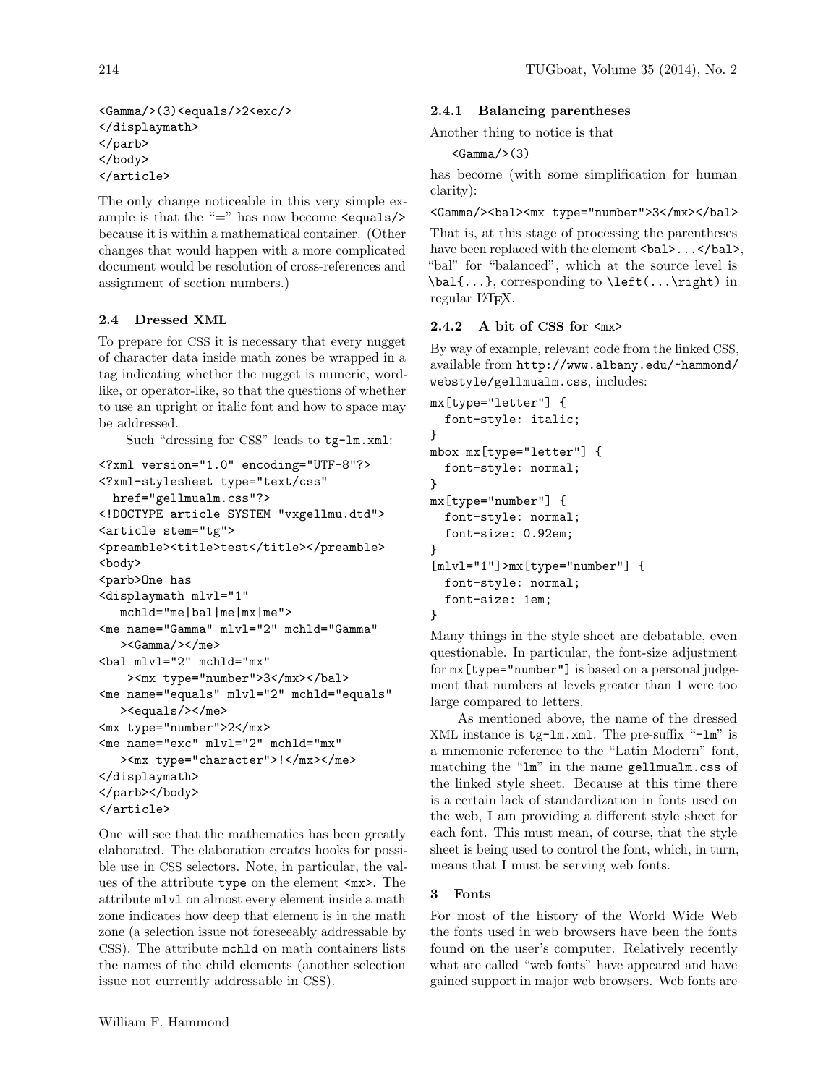```
<Gamma/>(3)<equals/>2<exc/>
</displaymath>
</parb>
</body>
</article>
```
The only change noticeable in this very simple example is that the "=" has now become  $\le$  equals/> because it is within a mathematical container. (Other changes that would happen with a more complicated document would be resolution of cross-references and assignment of section numbers.)

# 2.4 Dressed XML

To prepare for CSS it is necessary that every nugget of character data inside math zones be wrapped in a tag indicating whether the nugget is numeric, wordlike, or operator-like, so that the questions of whether to use an upright or italic font and how to space may be addressed.

Such "dressing for CSS" leads to tg-lm.xml:

```
<?xml version="1.0" encoding="UTF-8"?>
<?xml-stylesheet type="text/css"
 href="gellmualm.css"?>
<!DOCTYPE article SYSTEM "vxgellmu.dtd">
<article stem="tg">
<preamble><title>test</title></preamble>
<body>
<parb>One has
<displaymath mlvl="1"
  mchld="me|bal|me|mx|me">
<me name="Gamma" mlvl="2" mchld="Gamma"
   ><Gamma/></me>
<bal mlvl="2" mchld="mx"
   ><mx type="number">3</mx></bal>
<me name="equals" mlvl="2" mchld="equals"
   ><equals/></me>
<mx type="number">2</mx>
<me name="exc" mlvl="2" mchld="mx"
   ><mx type="character">!</mx></me>
</displaymath>
</parb></body>
</article>
```
One will see that the mathematics has been greatly elaborated. The elaboration creates hooks for possible use in CSS selectors. Note, in particular, the values of the attribute type on the element <mx>. The attribute mlvl on almost every element inside a math zone indicates how deep that element is in the math zone (a selection issue not foreseeably addressable by CSS). The attribute mchld on math containers lists the names of the child elements (another selection issue not currently addressable in CSS).

# 2.4.1 Balancing parentheses

Another thing to notice is that

 $<$ Gamma $/$ > $(3)$ 

has become (with some simplification for human clarity):

<Gamma/>>>><mx type="number">3</mx></bal>

That is, at this stage of processing the parentheses have been replaced with the element <br/>bal>...</bal>, "bal" for "balanced", which at the source level is \bal{...}, corresponding to \left(...\right) in regular L<sup>AT</sup>FX.

# 2.4.2 A bit of CSS for  $\langle$ mx $\rangle$

By way of example, relevant code from the linked CSS, available from http://www.albany.edu/~hammond/ webstyle/gellmualm.css, includes:

```
mx[type="letter"] {
  font-style: italic;
}
mbox mx[type="letter"] {
  font-style: normal;
}
mx[type="number"] {
  font-style: normal;
  font-size: 0.92em;
}
[mlvl="1"]>mx[type="number"] {
  font-style: normal;
  font-size: 1em;
}
```
Many things in the style sheet are debatable, even questionable. In particular, the font-size adjustment for mx[type="number"] is based on a personal judgement that numbers at levels greater than 1 were too large compared to letters.

As mentioned above, the name of the dressed XML instance is tg-lm.xml. The pre-suffix "-lm" is a mnemonic reference to the "Latin Modern" font, matching the "lm" in the name gellmualm.css of the linked style sheet. Because at this time there is a certain lack of standardization in fonts used on the web, I am providing a different style sheet for each font. This must mean, of course, that the style sheet is being used to control the font, which, in turn, means that I must be serving web fonts.

# 3 Fonts

For most of the history of the World Wide Web the fonts used in web browsers have been the fonts found on the user's computer. Relatively recently what are called "web fonts" have appeared and have gained support in major web browsers. Web fonts are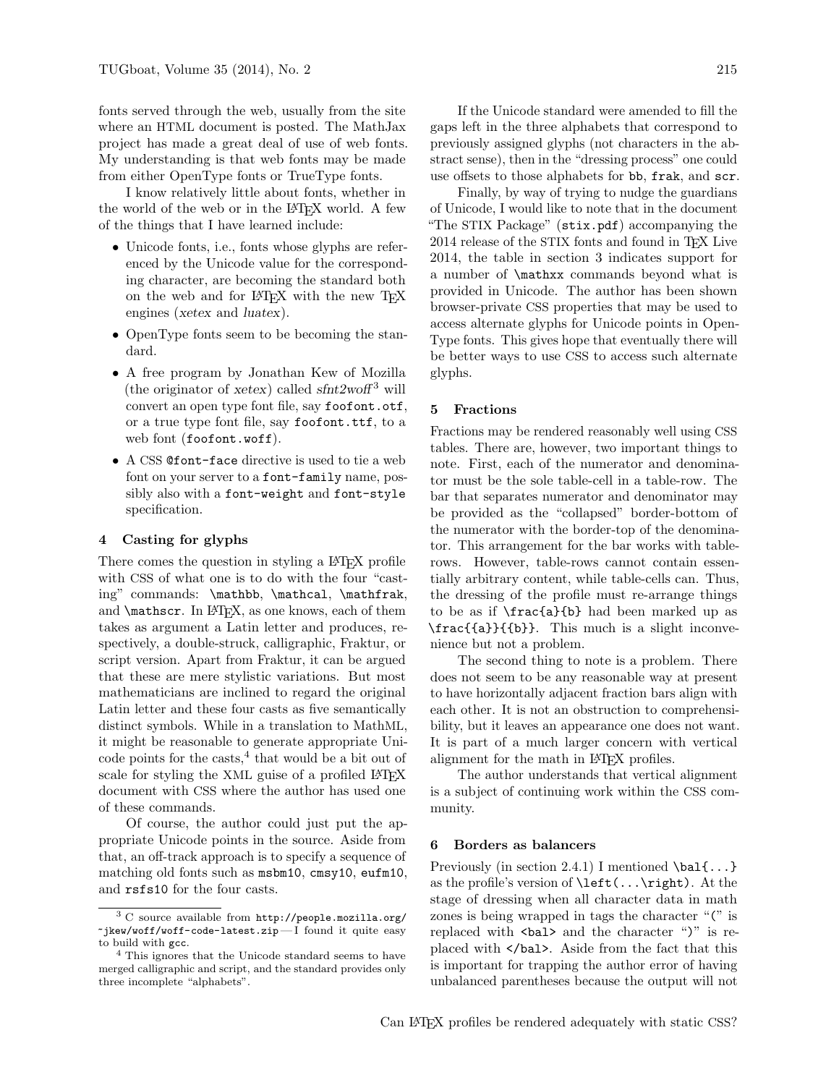fonts served through the web, usually from the site where an HTML document is posted. The MathJax project has made a great deal of use of web fonts. My understanding is that web fonts may be made from either OpenType fonts or TrueType fonts.

I know relatively little about fonts, whether in the world of the web or in the LAT<sub>EX</sub> world. A few of the things that I have learned include:

- Unicode fonts, i.e., fonts whose glyphs are referenced by the Unicode value for the corresponding character, are becoming the standard both on the web and for LAT<sub>EX</sub> with the new T<sub>EX</sub> engines (xetex and luatex).
- OpenType fonts seem to be becoming the standard.
- A free program by Jonathan Kew of Mozilla (the originator of xetex) called  $\text{s} \text{f} \text{m} \text{t} \text{2} \text{w} \text{m} \text{s}$ <sup>3</sup> will convert an open type font file, say foofont.otf, or a true type font file, say foofont.ttf, to a web font (foofont.woff).
- A CSS @font-face directive is used to tie a web font on your server to a font-family name, possibly also with a font-weight and font-style specification.

### 4 Casting for glyphs

There comes the question in styling a LAT<sub>EX</sub> profile with CSS of what one is to do with the four "casting" commands: \mathbb, \mathcal, \mathfrak, and **\mathscr.** In L<sup>AT</sup>EX, as one knows, each of them takes as argument a Latin letter and produces, respectively, a double-struck, calligraphic, Fraktur, or script version. Apart from Fraktur, it can be argued that these are mere stylistic variations. But most mathematicians are inclined to regard the original Latin letter and these four casts as five semantically distinct symbols. While in a translation to MathML, it might be reasonable to generate appropriate Uni- $\text{code points}$  for the casts,  $4$  that would be a bit out of scale for styling the XML guise of a profiled LATEX document with CSS where the author has used one of these commands.

Of course, the author could just put the appropriate Unicode points in the source. Aside from that, an off-track approach is to specify a sequence of matching old fonts such as msbm10, cmsy10, eufm10, and rsfs10 for the four casts.

If the Unicode standard were amended to fill the gaps left in the three alphabets that correspond to previously assigned glyphs (not characters in the abstract sense), then in the "dressing process" one could use offsets to those alphabets for bb, frak, and scr.

Finally, by way of trying to nudge the guardians of Unicode, I would like to note that in the document "The STIX Package" (stix.pdf) accompanying the 2014 release of the STIX fonts and found in T<sub>EX</sub> Live 2014, the table in section 3 indicates support for a number of \mathxx commands beyond what is provided in Unicode. The author has been shown browser-private CSS properties that may be used to access alternate glyphs for Unicode points in Open-Type fonts. This gives hope that eventually there will be better ways to use CSS to access such alternate glyphs.

### 5 Fractions

Fractions may be rendered reasonably well using CSS tables. There are, however, two important things to note. First, each of the numerator and denominator must be the sole table-cell in a table-row. The bar that separates numerator and denominator may be provided as the "collapsed" border-bottom of the numerator with the border-top of the denominator. This arrangement for the bar works with tablerows. However, table-rows cannot contain essentially arbitrary content, while table-cells can. Thus, the dressing of the profile must re-arrange things to be as if \frac{a}{b} had been marked up as \frac{{a}}{{b}}. This much is a slight inconvenience but not a problem.

The second thing to note is a problem. There does not seem to be any reasonable way at present to have horizontally adjacent fraction bars align with each other. It is not an obstruction to comprehensibility, but it leaves an appearance one does not want. It is part of a much larger concern with vertical alignment for the math in LATEX profiles.

The author understands that vertical alignment is a subject of continuing work within the CSS community.

#### 6 Borders as balancers

Previously (in section 2.4.1) I mentioned  $\lambda$ ...} as the profile's version of  $\left(\ldots\right)$ . At the stage of dressing when all character data in math zones is being wrapped in tags the character "(" is replaced with  $\langle$ bal> and the character ")" is replaced with </bal>. Aside from the fact that this is important for trapping the author error of having unbalanced parentheses because the output will not

<sup>3</sup> C source available from http://people.mozilla.org/ ~jkew/woff/woff-code-latest.zip — I found it quite easy to build with gcc.

<sup>&</sup>lt;sup>4</sup> This ignores that the Unicode standard seems to have merged calligraphic and script, and the standard provides only three incomplete "alphabets".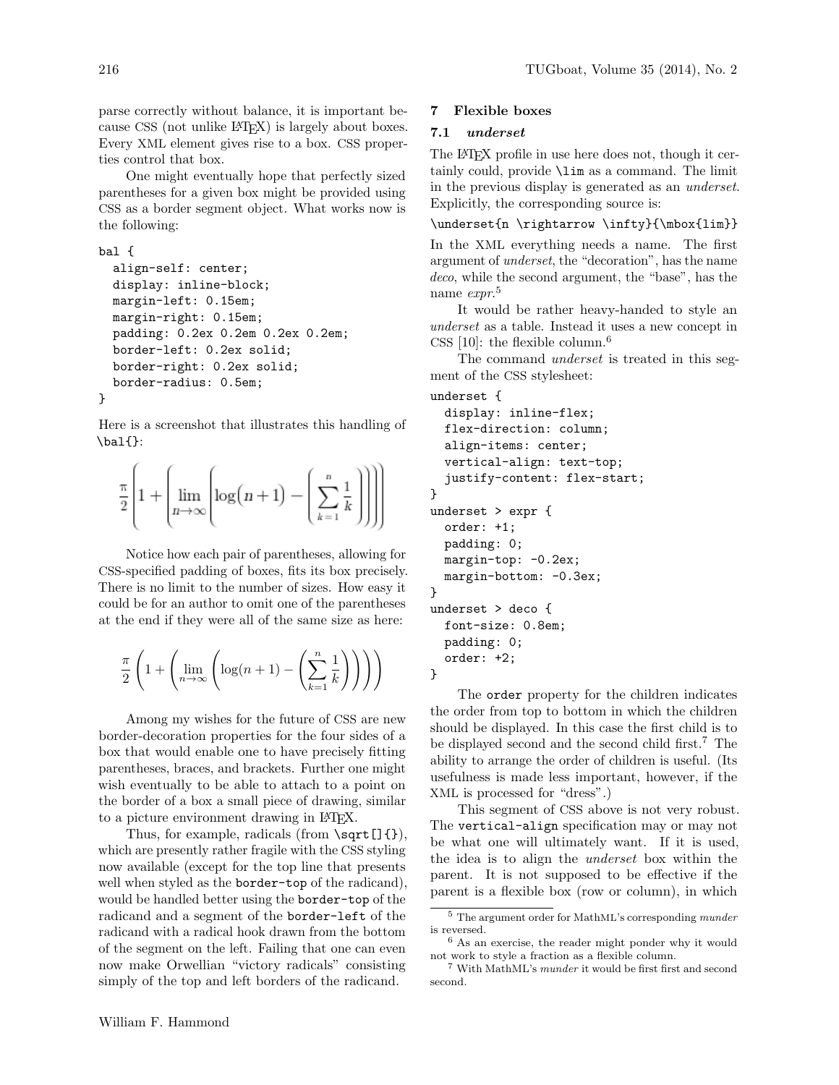parse correctly without balance, it is important because CSS (not unlike LAT<sub>EX</sub>) is largely about boxes. Every XML element gives rise to a box. CSS properties control that box.

One might eventually hope that perfectly sized parentheses for a given box might be provided using CSS as a border segment object. What works now is the following:

bal {

}

```
align-self: center;
display: inline-block;
margin-left: 0.15em;
margin-right: 0.15em;
padding: 0.2ex 0.2em 0.2ex 0.2em;
border-left: 0.2ex solid;
border-right: 0.2ex solid;
border-radius: 0.5em;
```
Here is a screenshot that illustrates this handling of  $\b{a}$  $\{\}$ :

$$
\frac{\pi}{2} \left[ 1 + \left( \lim_{n \to \infty} \left[ \log(n+1) - \left( \sum_{k=1}^{n} \frac{1}{k} \right) \right] \right) \right]
$$

Notice how each pair of parentheses, allowing for CSS-specified padding of boxes, fits its box precisely. There is no limit to the number of sizes. How easy it could be for an author to omit one of the parentheses at the end if they were all of the same size as here:

$$
\frac{\pi}{2} \left( 1 + \left( \lim_{n \to \infty} \left( \log(n+1) - \left( \sum_{k=1}^{n} \frac{1}{k} \right) \right) \right) \right)
$$

Among my wishes for the future of CSS are new border-decoration properties for the four sides of a box that would enable one to have precisely fitting parentheses, braces, and brackets. Further one might wish eventually to be able to attach to a point on the border of a box a small piece of drawing, similar to a picture environment drawing in LATEX.

Thus, for example, radicals (from  $\sqrt{\sqrt{}[}$ ), which are presently rather fragile with the CSS styling now available (except for the top line that presents well when styled as the **border-top** of the radicand), would be handled better using the border-top of the radicand and a segment of the border-left of the radicand with a radical hook drawn from the bottom of the segment on the left. Failing that one can even now make Orwellian "victory radicals" consisting simply of the top and left borders of the radicand.

### 7 Flexible boxes

### 7.1 underset

The LATEX profile in use here does not, though it certainly could, provide \lim as a command. The limit in the previous display is generated as an underset. Explicitly, the corresponding source is:

\underset{n \rightarrow \infty}{\mbox{lim}}

In the XML everything needs a name. The first argument of underset, the "decoration", has the name deco, while the second argument, the "base", has the name *expr*.<sup>5</sup>

It would be rather heavy-handed to style an underset as a table. Instead it uses a new concept in CSS  $[10]$ : the flexible column.<sup>6</sup>

The command underset is treated in this segment of the CSS stylesheet:

```
underset {
  display: inline-flex;
  flex-direction: column;
  align-items: center;
  vertical-align: text-top;
  justify-content: flex-start;
}
underset > expr {
  order: +1;
  padding: 0;
  margin-top: -0.2ex;
  margin-bottom: -0.3ex;
}
underset > deco {
  font-size: 0.8em;
  padding: 0;
  order: +2;
}
```
The order property for the children indicates the order from top to bottom in which the children should be displayed. In this case the first child is to be displayed second and the second child first.<sup>7</sup> The ability to arrange the order of children is useful. (Its usefulness is made less important, however, if the XML is processed for "dress".)

This segment of CSS above is not very robust. The vertical-align specification may or may not be what one will ultimately want. If it is used, the idea is to align the underset box within the parent. It is not supposed to be effective if the parent is a flexible box (row or column), in which

<sup>5</sup> The argument order for MathML's corresponding munder is reversed.

<sup>6</sup> As an exercise, the reader might ponder why it would not work to style a fraction as a flexible column.

<sup>7</sup> With MathML's munder it would be first first and second second.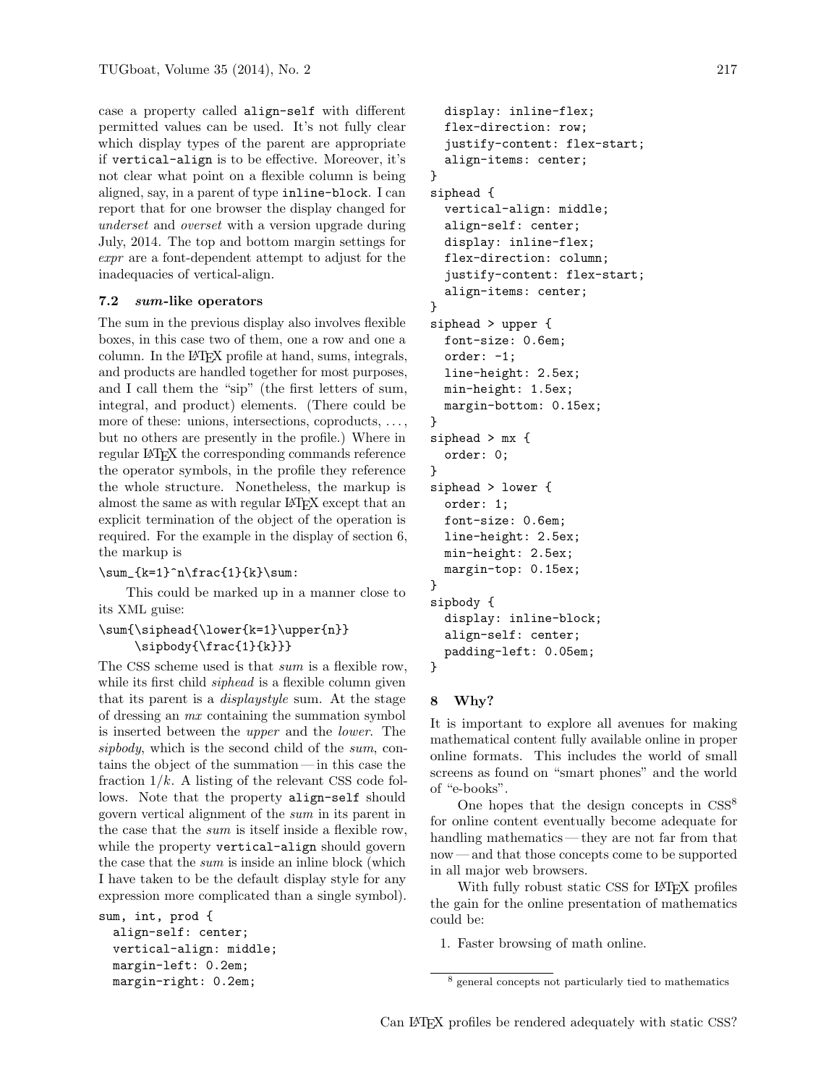case a property called align-self with different permitted values can be used. It's not fully clear which display types of the parent are appropriate if vertical-align is to be effective. Moreover, it's not clear what point on a flexible column is being aligned, say, in a parent of type inline-block. I can report that for one browser the display changed for underset and overset with a version upgrade during July, 2014. The top and bottom margin settings for expr are a font-dependent attempt to adjust for the inadequacies of vertical-align.

## 7.2 sum-like operators

The sum in the previous display also involves flexible boxes, in this case two of them, one a row and one a column. In the LAT<sub>EX</sub> profile at hand, sums, integrals, and products are handled together for most purposes, and I call them the "sip" (the first letters of sum, integral, and product) elements. (There could be more of these: unions, intersections, coproducts, ..., but no others are presently in the profile.) Where in regular L<sup>AT</sup>EX the corresponding commands reference the operator symbols, in the profile they reference the whole structure. Nonetheless, the markup is almost the same as with regular LATEX except that an explicit termination of the object of the operation is required. For the example in the display of section 6, the markup is

```
\sum_{k=1}^n\frac{1}{k}\sum:
```
This could be marked up in a manner close to its XML guise:

## \sum{\siphead{\lower{k=1}\upper{n}} \sipbody{\frac{1}{k}}}

The CSS scheme used is that sum is a flexible row, while its first child *siphead* is a flexible column given that its parent is a displaystyle sum. At the stage of dressing an mx containing the summation symbol is inserted between the upper and the lower. The sipbody, which is the second child of the sum, contains the object of the summation — in this case the fraction  $1/k$ . A listing of the relevant CSS code follows. Note that the property align-self should govern vertical alignment of the sum in its parent in the case that the sum is itself inside a flexible row, while the property vertical-align should govern the case that the sum is inside an inline block (which I have taken to be the default display style for any expression more complicated than a single symbol).

```
sum, int, prod {
  align-self: center;
  vertical-align: middle;
  margin-left: 0.2em;
  margin-right: 0.2em;
```

```
display: inline-flex;
  flex-direction: row;
  justify-content: flex-start;
  align-items: center;
}
siphead {
  vertical-align: middle;
  align-self: center;
  display: inline-flex;
  flex-direction: column;
  justify-content: flex-start;
  align-items: center;
}
siphead > upper {
  font-size: 0.6em;
  order: -1;
  line-height: 2.5ex;
  min-height: 1.5ex;
  margin-bottom: 0.15ex;
}
siphead > mx {
  order: 0;
}
siphead > lower {
  order: 1;
  font-size: 0.6em;
  line-height: 2.5ex;
  min-height: 2.5ex;
  margin-top: 0.15ex;
}
sipbody {
  display: inline-block;
  align-self: center;
  padding-left: 0.05em;
}
```
### 8 Why?

It is important to explore all avenues for making mathematical content fully available online in proper online formats. This includes the world of small screens as found on "smart phones" and the world of "e-books".

One hopes that the design concepts in CSS<sup>8</sup> for online content eventually become adequate for handling mathematics— they are not far from that now — and that those concepts come to be supported in all major web browsers.

With fully robust static CSS for LATEX profiles the gain for the online presentation of mathematics could be:

1. Faster browsing of math online.

<sup>8</sup> general concepts not particularly tied to mathematics